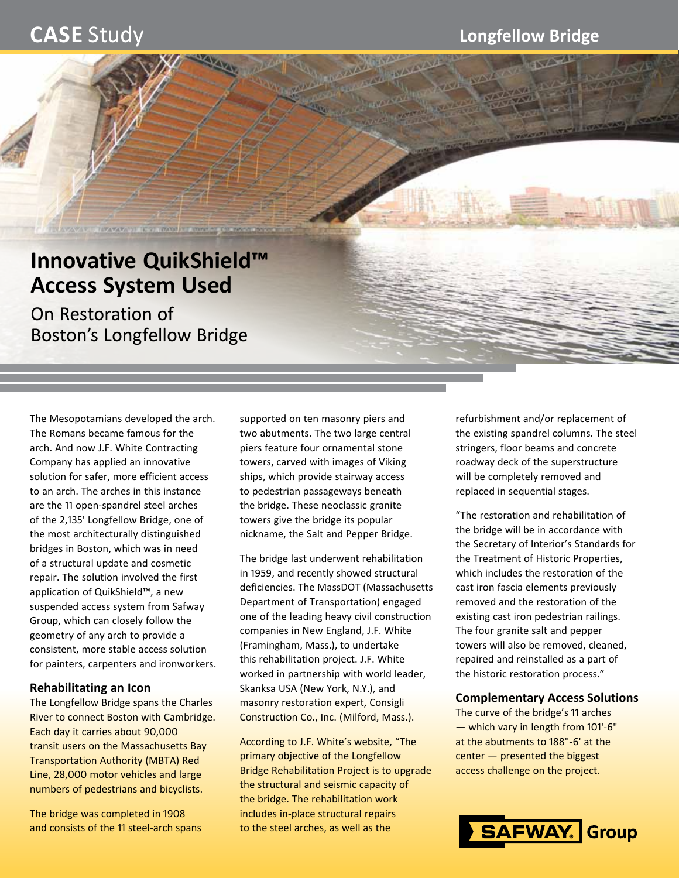# **Innovative QuikShield™ Access System Used**

VAV V VILLAV V V III STADAVI V KOVO O PO POSTEDA

On Restoration of Boston's Longfellow Bridge

The Mesopotamians developed the arch. The Romans became famous for the arch. And now J.F. White Contracting Company has applied an innovative solution for safer, more efficient access to an arch. The arches in this instance are the 11 open‑spandrel steel arches of the 2,135' Longfellow Bridge, one of the most architecturally distinguished bridges in Boston, which was in need of a structural update and cosmetic repair. The solution involved the first application of QuikShield™, a new suspended access system from Safway Group, which can closely follow the geometry of any arch to provide a consistent, more stable access solution for painters, carpenters and ironworkers.

# **Rehabilitating an Icon**

The Longfellow Bridge spans the Charles River to connect Boston with Cambridge. Each day it carries about 90,000 transit users on the Massachusetts Bay Transportation Authority (MBTA) Red Line, 28,000 motor vehicles and large numbers of pedestrians and bicyclists.

The bridge was completed in 1908 and consists of the 11 steel-arch spans supported on ten masonry piers and two abutments. The two large central piers feature four ornamental stone towers, carved with images of Viking ships, which provide stairway access to pedestrian passageways beneath the bridge. These neoclassic granite towers give the bridge its popular nickname, the Salt and Pepper Bridge.

The bridge last underwent rehabilitation in 1959, and recently showed structural deficiencies. The MassDOT (Massachusetts Department of Transportation) engaged one of the leading heavy civil construction companies in New England, J.F. White (Framingham, Mass.), to undertake this rehabilitation project. J.F. White worked in partnership with world leader, Skanksa USA (New York, N.Y.), and masonry restoration expert, Consigli Construction Co., Inc. (Milford, Mass.).

According to J.F. White's website, "The primary objective of the Longfellow Bridge Rehabilitation Project is to upgrade the structural and seismic capacity of the bridge. The rehabilitation work includes in‑place structural repairs to the steel arches, as well as the

refurbishment and/or replacement of the existing spandrel columns. The steel stringers, floor beams and concrete roadway deck of the superstructure will be completely removed and replaced in sequential stages.

"The restoration and rehabilitation of the bridge will be in accordance with the Secretary of Interior's Standards for the Treatment of Historic Properties, which includes the restoration of the cast iron fascia elements previously removed and the restoration of the existing cast iron pedestrian railings. The four granite salt and pepper towers will also be removed, cleaned, repaired and reinstalled as a part of the historic restoration process."

# **Complementary Access Solutions**

The curve of the bridge's 11 arches — which vary in length from 101'‑6" at the abutments to 188"-6' at the center — presented the biggest access challenge on the project.

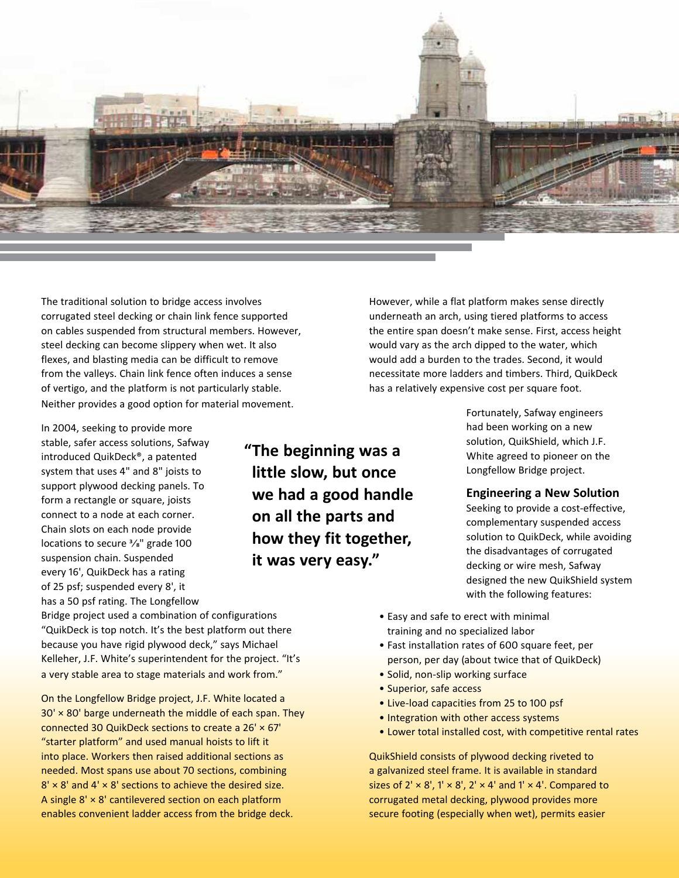

The traditional solution to bridge access involves corrugated steel decking or chain link fence supported on cables suspended from structural members. However, steel decking can become slippery when wet. It also flexes, and blasting media can be difficult to remove from the valleys. Chain link fence often induces a sense of vertigo, and the platform is not particularly stable. Neither provides a good option for material movement.

In 2004, seeking to provide more stable, safer access solutions, Safway introduced QuikDeck®, a patented system that uses 4" and 8" joists to support plywood decking panels. To form a rectangle or square, joists connect to a node at each corner. Chain slots on each node provide locations to secure 3/8" grade 100 suspension chain. Suspended every 16', QuikDeck has a rating of 25 psf; suspended every 8', it has a 50 psf rating. The Longfellow

**"The beginning was a little slow, but once we had a good handle on all the parts and how they fit together, it was very easy."**

However, while a flat platform makes sense directly underneath an arch, using tiered platforms to access the entire span doesn't make sense. First, access height would vary as the arch dipped to the water, which would add a burden to the trades. Second, it would necessitate more ladders and timbers. Third, QuikDeck has a relatively expensive cost per square foot.

> Fortunately, Safway engineers had been working on a new solution, QuikShield, which J.F. White agreed to pioneer on the Longfellow Bridge project.

### **Engineering a New Solution**

Seeking to provide a cost-effective, complementary suspended access solution to QuikDeck, while avoiding the disadvantages of corrugated decking or wire mesh, Safway designed the new QuikShield system with the following features:

Bridge project used a combination of configurations "QuikDeck is top notch. It's the best platform out there because you have rigid plywood deck," says Michael Kelleher, J.F. White's superintendent for the project. "It's a very stable area to stage materials and work from."

On the Longfellow Bridge project, J.F. White located a  $30' \times 80'$  barge underneath the middle of each span. They connected 30 QuikDeck sections to create a 26' × 67' "starter platform" and used manual hoists to lift it into place. Workers then raised additional sections as needed. Most spans use about 70 sections, combining  $8' \times 8'$  and  $4' \times 8'$  sections to achieve the desired size. A single  $8' \times 8'$  cantilevered section on each platform enables convenient ladder access from the bridge deck.

- Easy and safe to erect with minimal training and no specialized labor
- Fast installation rates of 600 square feet, per person, per day (about twice that of QuikDeck)
- Solid, non‑slip working surface
- Superior, safe access
- Live‑load capacities from 25 to 100 psf
- Integration with other access systems
- Lower total installed cost, with competitive rental rates

QuikShield consists of plywood decking riveted to a galvanized steel frame. It is available in standard sizes of  $2' \times 8'$ ,  $1' \times 8'$ ,  $2' \times 4'$  and  $1' \times 4'$ . Compared to corrugated metal decking, plywood provides more secure footing (especially when wet), permits easier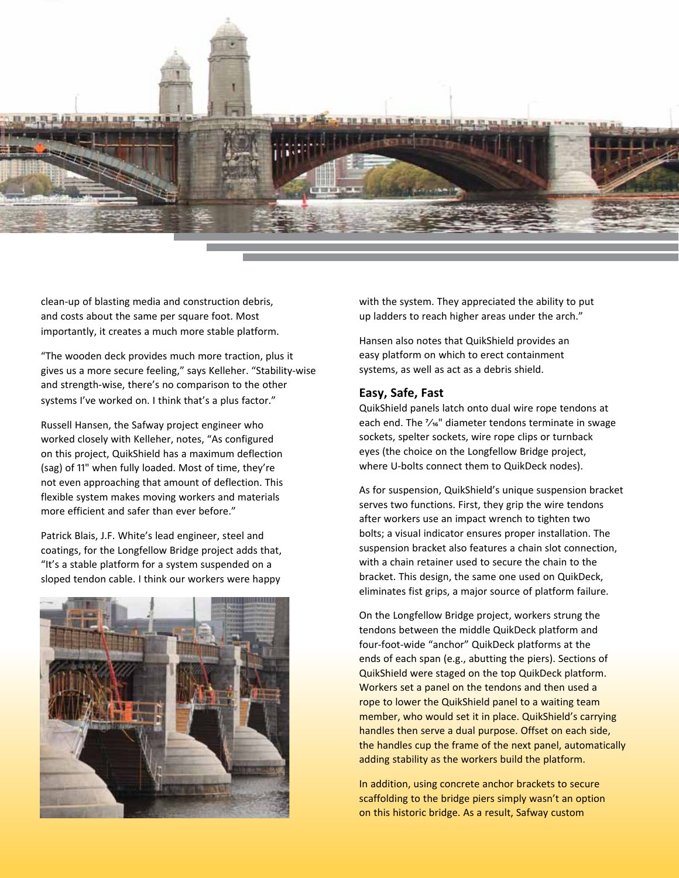

clean‑up of blasting media and construction debris, and costs about the same per square foot. Most importantly, it creates a much more stable platform.

"The wooden deck provides much more traction, plus it gives us a more secure feeling," says Kelleher. "Stability-wise and strength-wise, there's no comparison to the other systems I've worked on. I think that's a plus factor."

Russell Hansen, the Safway project engineer who worked closely with Kelleher, notes, "As configured on this project, QuikShield has a maximum deflection (sag) of 11" when fully loaded. Most of time, they're not even approaching that amount of deflection. This flexible system makes moving workers and materials more efficient and safer than ever before."

Patrick Blais, J.F. White's lead engineer, steel and coatings, for the Longfellow Bridge project adds that, "It's a stable platform for a system suspended on a sloped tendon cable. I think our workers were happy



with the system. They appreciated the ability to put up ladders to reach higher areas under the arch."

Hansen also notes that QuikShield provides an easy platform on which to erect containment systems, as well as act as a debris shield.

### **Easy, Safe, Fast**

QuikShield panels latch onto dual wire rope tendons at each end. The  $\frac{7}{16}$ " diameter tendons terminate in swage sockets, spelter sockets, wire rope clips or turnback eyes (the choice on the Longfellow Bridge project, where U-bolts connect them to QuikDeck nodes).

As for suspension, QuikShield's unique suspension bracket serves two functions. First, they grip the wire tendons after workers use an impact wrench to tighten two bolts; a visual indicator ensures proper installation. The suspension bracket also features a chain slot connection, with a chain retainer used to secure the chain to the bracket. This design, the same one used on QuikDeck, eliminates fist grips, a major source of platform failure.

On the Longfellow Bridge project, workers strung the tendons between the middle QuikDeck platform and four-foot-wide "anchor" QuikDeck platforms at the ends of each span (e.g., abutting the piers). Sections of QuikShield were staged on the top QuikDeck platform. Workers set a panel on the tendons and then used a rope to lower the QuikShield panel to a waiting team member, who would set it in place. QuikShield's carrying handles then serve a dual purpose. Offset on each side, the handles cup the frame of the next panel, automatically adding stability as the workers build the platform.

In addition, using concrete anchor brackets to secure scaffolding to the bridge piers simply wasn't an option on this historic bridge. As a result, Safway custom